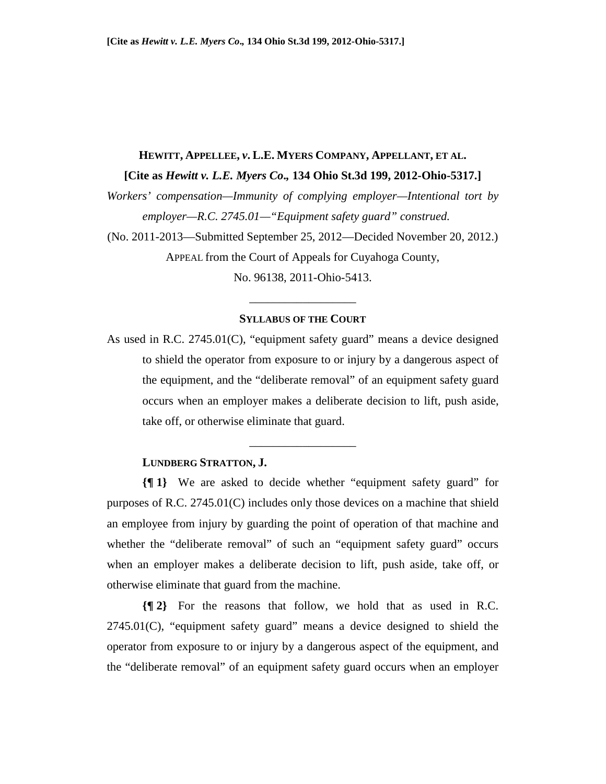# **HEWITT, APPELLEE,** *v***. L.E. MYERS COMPANY, APPELLANT, ET AL.**

**[Cite as** *Hewitt v. L.E. Myers Co***.***,* **134 Ohio St.3d 199, 2012-Ohio-5317.]** 

*Workers' compensation—Immunity of complying employer—Intentional tort by employer—R.C. 2745.01—"Equipment safety guard" construed.* 

(No. 2011-2013—Submitted September 25, 2012—Decided November 20, 2012.) APPEAL from the Court of Appeals for Cuyahoga County,

No. 96138, 2011-Ohio-5413.

#### **SYLLABUS OF THE COURT**

\_\_\_\_\_\_\_\_\_\_\_\_\_\_\_\_\_\_

As used in R.C. 2745.01(C), "equipment safety guard" means a device designed to shield the operator from exposure to or injury by a dangerous aspect of the equipment, and the "deliberate removal" of an equipment safety guard occurs when an employer makes a deliberate decision to lift, push aside, take off, or otherwise eliminate that guard.

\_\_\_\_\_\_\_\_\_\_\_\_\_\_\_\_\_\_

## **LUNDBERG STRATTON, J.**

**{¶ 1}** We are asked to decide whether "equipment safety guard" for purposes of R.C. 2745.01(C) includes only those devices on a machine that shield an employee from injury by guarding the point of operation of that machine and whether the "deliberate removal" of such an "equipment safety guard" occurs when an employer makes a deliberate decision to lift, push aside, take off, or otherwise eliminate that guard from the machine.

**{¶ 2}** For the reasons that follow, we hold that as used in R.C. 2745.01(C), "equipment safety guard" means a device designed to shield the operator from exposure to or injury by a dangerous aspect of the equipment, and the "deliberate removal" of an equipment safety guard occurs when an employer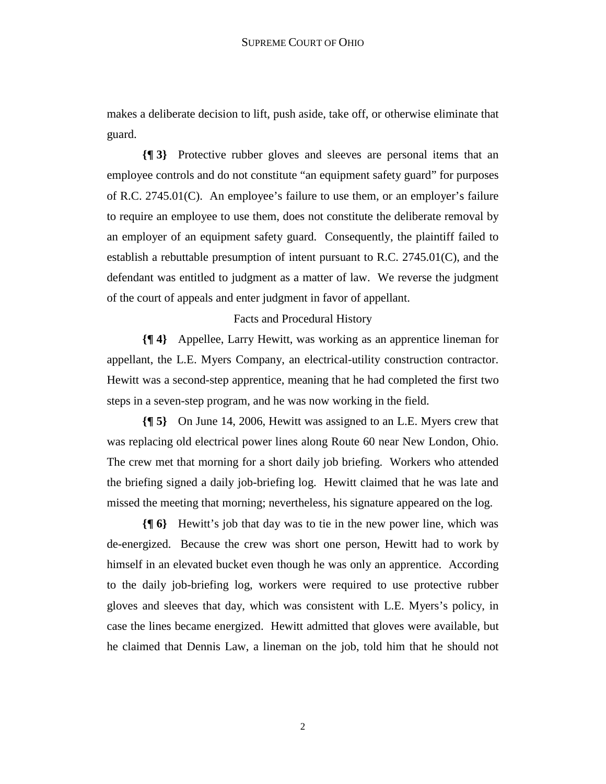makes a deliberate decision to lift, push aside, take off, or otherwise eliminate that guard.

**{¶ 3}** Protective rubber gloves and sleeves are personal items that an employee controls and do not constitute "an equipment safety guard" for purposes of R.C. 2745.01(C). An employee's failure to use them, or an employer's failure to require an employee to use them, does not constitute the deliberate removal by an employer of an equipment safety guard. Consequently, the plaintiff failed to establish a rebuttable presumption of intent pursuant to R.C. 2745.01(C), and the defendant was entitled to judgment as a matter of law. We reverse the judgment of the court of appeals and enter judgment in favor of appellant.

## Facts and Procedural History

**{¶ 4}** Appellee, Larry Hewitt, was working as an apprentice lineman for appellant, the L.E. Myers Company, an electrical-utility construction contractor. Hewitt was a second-step apprentice, meaning that he had completed the first two steps in a seven-step program, and he was now working in the field.

**{¶ 5}** On June 14, 2006, Hewitt was assigned to an L.E. Myers crew that was replacing old electrical power lines along Route 60 near New London, Ohio. The crew met that morning for a short daily job briefing. Workers who attended the briefing signed a daily job-briefing log. Hewitt claimed that he was late and missed the meeting that morning; nevertheless, his signature appeared on the log.

**{¶ 6}** Hewitt's job that day was to tie in the new power line, which was de-energized. Because the crew was short one person, Hewitt had to work by himself in an elevated bucket even though he was only an apprentice. According to the daily job-briefing log, workers were required to use protective rubber gloves and sleeves that day, which was consistent with L.E. Myers's policy, in case the lines became energized. Hewitt admitted that gloves were available, but he claimed that Dennis Law, a lineman on the job, told him that he should not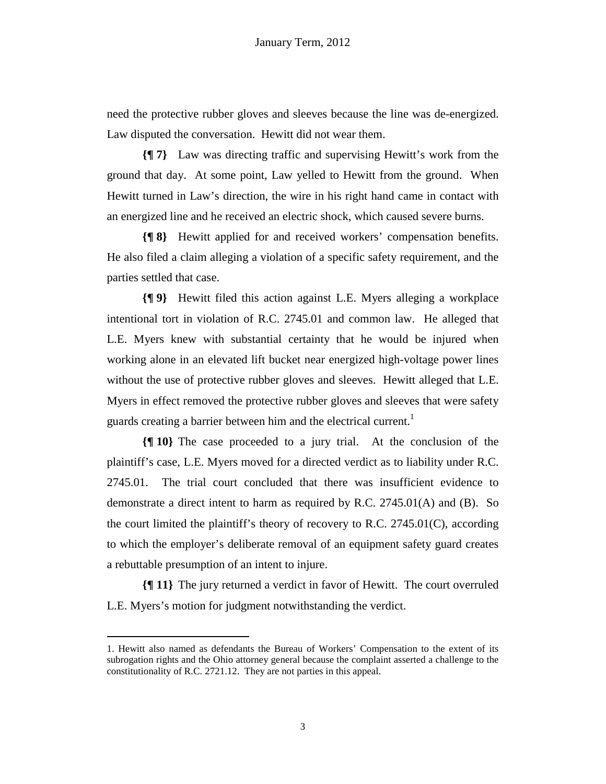need the protective rubber gloves and sleeves because the line was de-energized. Law disputed the conversation. Hewitt did not wear them.

**{¶ 7}** Law was directing traffic and supervising Hewitt's work from the ground that day. At some point, Law yelled to Hewitt from the ground. When Hewitt turned in Law's direction, the wire in his right hand came in contact with an energized line and he received an electric shock, which caused severe burns.

**{¶ 8}** Hewitt applied for and received workers' compensation benefits. He also filed a claim alleging a violation of a specific safety requirement, and the parties settled that case.

**{¶ 9}** Hewitt filed this action against L.E. Myers alleging a workplace intentional tort in violation of R.C. 2745.01 and common law. He alleged that L.E. Myers knew with substantial certainty that he would be injured when working alone in an elevated lift bucket near energized high-voltage power lines without the use of protective rubber gloves and sleeves. Hewitt alleged that L.E. Myers in effect removed the protective rubber gloves and sleeves that were safety guards creating a barrier between him and the electrical current.<sup>1</sup>

**{¶ 10}** The case proceeded to a jury trial. At the conclusion of the plaintiff's case, L.E. Myers moved for a directed verdict as to liability under R.C. 2745.01. The trial court concluded that there was insufficient evidence to demonstrate a direct intent to harm as required by R.C. 2745.01(A) and (B). So the court limited the plaintiff's theory of recovery to R.C.  $2745.01(C)$ , according to which the employer's deliberate removal of an equipment safety guard creates a rebuttable presumption of an intent to injure.

**{¶ 11}** The jury returned a verdict in favor of Hewitt. The court overruled L.E. Myers's motion for judgment notwithstanding the verdict.

-

<sup>1.</sup> Hewitt also named as defendants the Bureau of Workers' Compensation to the extent of its subrogation rights and the Ohio attorney general because the complaint asserted a challenge to the constitutionality of R.C. 2721.12. They are not parties in this appeal.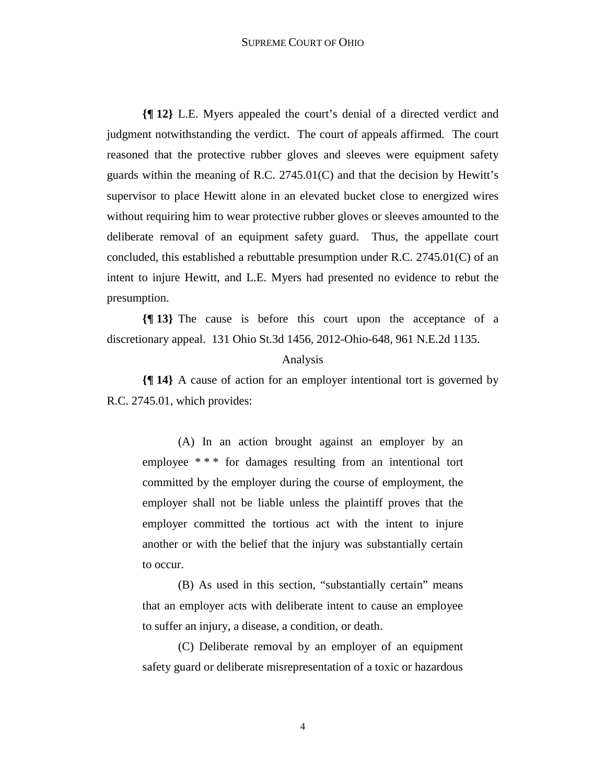**{¶ 12}** L.E. Myers appealed the court's denial of a directed verdict and judgment notwithstanding the verdict. The court of appeals affirmed. The court reasoned that the protective rubber gloves and sleeves were equipment safety guards within the meaning of R.C. 2745.01(C) and that the decision by Hewitt's supervisor to place Hewitt alone in an elevated bucket close to energized wires without requiring him to wear protective rubber gloves or sleeves amounted to the deliberate removal of an equipment safety guard. Thus, the appellate court concluded, this established a rebuttable presumption under R.C.  $2745.01(C)$  of an intent to injure Hewitt, and L.E. Myers had presented no evidence to rebut the presumption.

**{¶ 13}** The cause is before this court upon the acceptance of a discretionary appeal. 131 Ohio St.3d 1456, 2012-Ohio-648, 961 N.E.2d 1135.

## Analysis

**{¶ 14}** A cause of action for an employer intentional tort is governed by R.C. 2745.01, which provides:

(A) In an action brought against an employer by an employee \* \* \* for damages resulting from an intentional tort committed by the employer during the course of employment, the employer shall not be liable unless the plaintiff proves that the employer committed the tortious act with the intent to injure another or with the belief that the injury was substantially certain to occur.

 (B) As used in this section, "substantially certain" means that an employer acts with deliberate intent to cause an employee to suffer an injury, a disease, a condition, or death.

 (C) Deliberate removal by an employer of an equipment safety guard or deliberate misrepresentation of a toxic or hazardous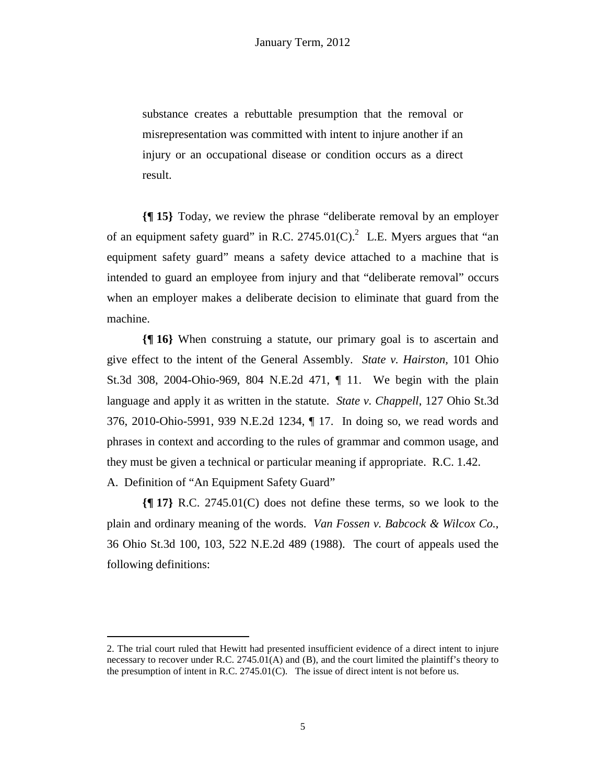substance creates a rebuttable presumption that the removal or misrepresentation was committed with intent to injure another if an injury or an occupational disease or condition occurs as a direct result.

**{¶ 15}** Today, we review the phrase "deliberate removal by an employer of an equipment safety guard" in R.C.  $2745.01(C)$ .<sup>2</sup> L.E. Myers argues that "an equipment safety guard" means a safety device attached to a machine that is intended to guard an employee from injury and that "deliberate removal" occurs when an employer makes a deliberate decision to eliminate that guard from the machine.

**{¶ 16}** When construing a statute, our primary goal is to ascertain and give effect to the intent of the General Assembly. *State v. Hairston,* 101 Ohio St.3d 308, 2004-Ohio-969, 804 N.E.2d 471, ¶ 11. We begin with the plain language and apply it as written in the statute. *State v. Chappell*, 127 Ohio St.3d 376, 2010-Ohio-5991, 939 N.E.2d 1234, ¶ 17. In doing so, we read words and phrases in context and according to the rules of grammar and common usage, and they must be given a technical or particular meaning if appropriate. R.C. 1.42. A. Definition of "An Equipment Safety Guard"

**{¶ 17}** R.C. 2745.01(C) does not define these terms, so we look to the plain and ordinary meaning of the words. *Van Fossen v. Babcock & Wilcox Co.*, 36 Ohio St.3d 100, 103, 522 N.E.2d 489 (1988). The court of appeals used the following definitions:

-

<sup>2.</sup> The trial court ruled that Hewitt had presented insufficient evidence of a direct intent to injure necessary to recover under R.C. 2745.01(A) and (B), and the court limited the plaintiff's theory to the presumption of intent in R.C. 2745.01(C). The issue of direct intent is not before us.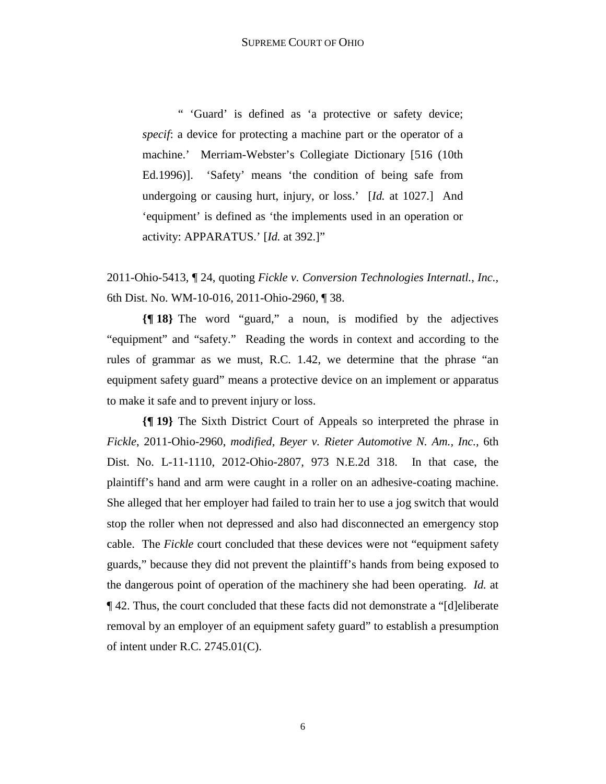" 'Guard' is defined as 'a protective or safety device; *specif*: a device for protecting a machine part or the operator of a machine.' Merriam-Webster's Collegiate Dictionary [516 (10th Ed.1996)]. 'Safety' means 'the condition of being safe from undergoing or causing hurt, injury, or loss.' [*Id.* at 1027.] And 'equipment' is defined as 'the implements used in an operation or activity: APPARATUS.' [*Id.* at 392.]"

2011-Ohio-5413, ¶ 24, quoting *Fickle v. Conversion Technologies Internatl.*, *Inc.,*  6th Dist. No. WM-10-016, 2011-Ohio-2960, ¶ 38.

**{¶ 18}** The word "guard," a noun, is modified by the adjectives "equipment" and "safety." Reading the words in context and according to the rules of grammar as we must, R.C. 1.42, we determine that the phrase "an equipment safety guard" means a protective device on an implement or apparatus to make it safe and to prevent injury or loss.

**{¶ 19}** The Sixth District Court of Appeals so interpreted the phrase in *Fickle*, 2011-Ohio-2960, *modified, Beyer v. Rieter Automotive N. Am., Inc.,* 6th Dist. No. L-11-1110, 2012-Ohio-2807, 973 N.E.2d 318. In that case, the plaintiff's hand and arm were caught in a roller on an adhesive-coating machine. She alleged that her employer had failed to train her to use a jog switch that would stop the roller when not depressed and also had disconnected an emergency stop cable. The *Fickle* court concluded that these devices were not "equipment safety guards," because they did not prevent the plaintiff's hands from being exposed to the dangerous point of operation of the machinery she had been operating. *Id.* at ¶ 42. Thus, the court concluded that these facts did not demonstrate a "[d]eliberate removal by an employer of an equipment safety guard" to establish a presumption of intent under R.C. 2745.01(C).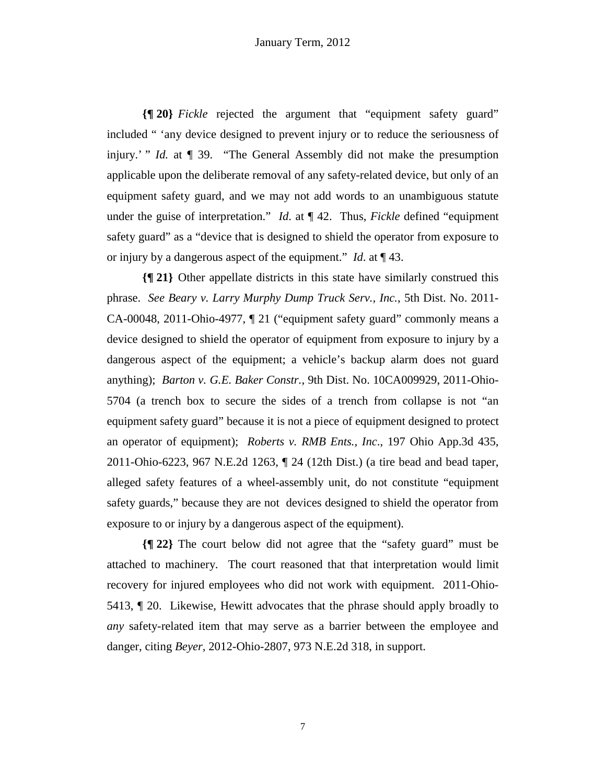**{¶ 20}** *Fickle* rejected the argument that "equipment safety guard" included " 'any device designed to prevent injury or to reduce the seriousness of injury.' " *Id.* at ¶ 39. "The General Assembly did not make the presumption applicable upon the deliberate removal of any safety-related device, but only of an equipment safety guard, and we may not add words to an unambiguous statute under the guise of interpretation." *Id*. at ¶ 42. Thus, *Fickle* defined "equipment safety guard" as a "device that is designed to shield the operator from exposure to or injury by a dangerous aspect of the equipment." *Id*. at ¶ 43.

**{¶ 21}** Other appellate districts in this state have similarly construed this phrase. *See Beary v. Larry Murphy Dump Truck Serv., Inc.*, 5th Dist. No. 2011- CA-00048, 2011-Ohio-4977, ¶ 21 ("equipment safety guard" commonly means a device designed to shield the operator of equipment from exposure to injury by a dangerous aspect of the equipment; a vehicle's backup alarm does not guard anything); *Barton v. G.E. Baker Constr.*, 9th Dist. No. 10CA009929, 2011-Ohio-5704 (a trench box to secure the sides of a trench from collapse is not "an equipment safety guard" because it is not a piece of equipment designed to protect an operator of equipment); *Roberts v. RMB Ents., Inc*., 197 Ohio App.3d 435, 2011-Ohio-6223, 967 N.E.2d 1263, ¶ 24 (12th Dist.) (a tire bead and bead taper, alleged safety features of a wheel-assembly unit, do not constitute "equipment safety guards," because they are not devices designed to shield the operator from exposure to or injury by a dangerous aspect of the equipment).

**{¶ 22}** The court below did not agree that the "safety guard" must be attached to machinery. The court reasoned that that interpretation would limit recovery for injured employees who did not work with equipment. 2011-Ohio-5413, ¶ 20. Likewise, Hewitt advocates that the phrase should apply broadly to *any* safety-related item that may serve as a barrier between the employee and danger, citing *Beyer,* 2012-Ohio-2807, 973 N.E.2d 318, in support.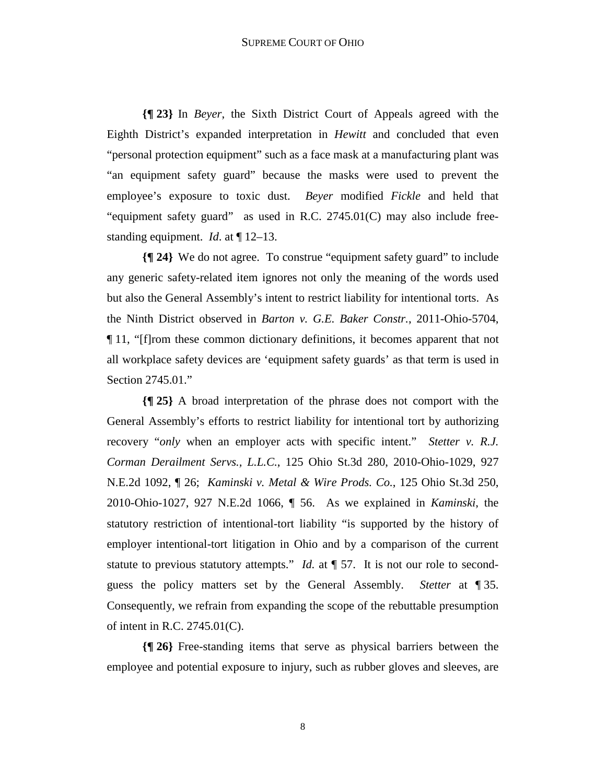**{¶ 23}** In *Beyer*, the Sixth District Court of Appeals agreed with the Eighth District's expanded interpretation in *Hewitt* and concluded that even "personal protection equipment" such as a face mask at a manufacturing plant was "an equipment safety guard" because the masks were used to prevent the employee's exposure to toxic dust. *Beyer* modified *Fickle* and held that "equipment safety guard" as used in R.C.  $2745.01(C)$  may also include freestanding equipment. *Id*. at ¶ 12–13.

**{¶ 24}** We do not agree. To construe "equipment safety guard" to include any generic safety-related item ignores not only the meaning of the words used but also the General Assembly's intent to restrict liability for intentional torts. As the Ninth District observed in *Barton v. G.E. Baker Constr.*, 2011-Ohio-5704, ¶ 11, "[f]rom these common dictionary definitions, it becomes apparent that not all workplace safety devices are 'equipment safety guards' as that term is used in Section 2745.01."

**{¶ 25}** A broad interpretation of the phrase does not comport with the General Assembly's efforts to restrict liability for intentional tort by authorizing recovery "*only* when an employer acts with specific intent." *Stetter v. R.J. Corman Derailment Servs., L.L.C.*, 125 Ohio St.3d 280, 2010-Ohio-1029, 927 N.E.2d 1092, ¶ 26; *Kaminski v. Metal & Wire Prods. Co.*, 125 Ohio St.3d 250, 2010-Ohio-1027, 927 N.E.2d 1066, ¶ 56. As we explained in *Kaminski*, the statutory restriction of intentional-tort liability "is supported by the history of employer intentional-tort litigation in Ohio and by a comparison of the current statute to previous statutory attempts." *Id.* at  $\P$  57. It is not our role to secondguess the policy matters set by the General Assembly. *Stetter* at ¶ 35. Consequently, we refrain from expanding the scope of the rebuttable presumption of intent in R.C. 2745.01(C).

**{¶ 26}** Free-standing items that serve as physical barriers between the employee and potential exposure to injury, such as rubber gloves and sleeves, are

8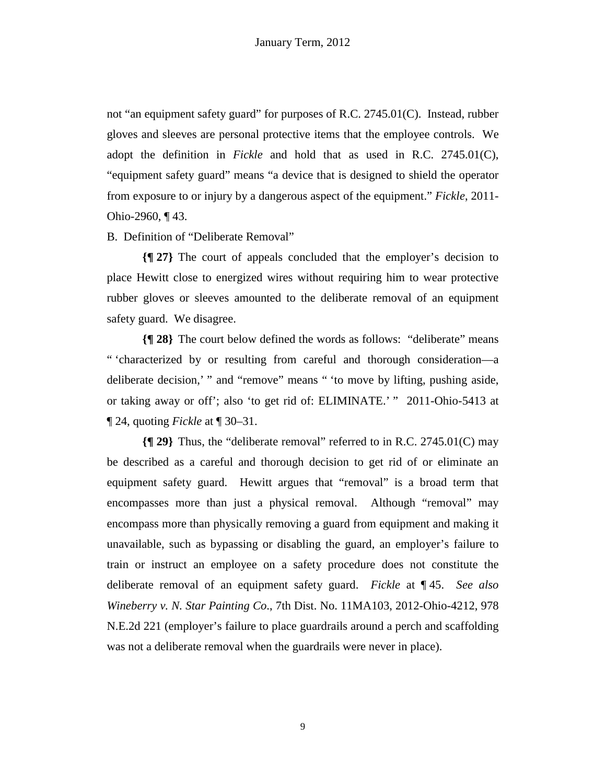not "an equipment safety guard" for purposes of R.C. 2745.01(C). Instead, rubber gloves and sleeves are personal protective items that the employee controls. We adopt the definition in *Fickle* and hold that as used in R.C. 2745.01(C), "equipment safety guard" means "a device that is designed to shield the operator from exposure to or injury by a dangerous aspect of the equipment." *Fickle*, 2011- Ohio-2960, ¶ 43.

B. Definition of "Deliberate Removal"

**{¶ 27}** The court of appeals concluded that the employer's decision to place Hewitt close to energized wires without requiring him to wear protective rubber gloves or sleeves amounted to the deliberate removal of an equipment safety guard. We disagree.

**{¶ 28}** The court below defined the words as follows: "deliberate" means " 'characterized by or resulting from careful and thorough consideration—a deliberate decision,' " and "remove" means " 'to move by lifting, pushing aside, or taking away or off'; also 'to get rid of: ELIMINATE.' " 2011-Ohio-5413 at ¶ 24, quoting *Fickle* at ¶ 30–31.

**{¶ 29}** Thus, the "deliberate removal" referred to in R.C. 2745.01(C) may be described as a careful and thorough decision to get rid of or eliminate an equipment safety guard. Hewitt argues that "removal" is a broad term that encompasses more than just a physical removal. Although "removal" may encompass more than physically removing a guard from equipment and making it unavailable, such as bypassing or disabling the guard, an employer's failure to train or instruct an employee on a safety procedure does not constitute the deliberate removal of an equipment safety guard. *Fickle* at ¶ 45. *See also Wineberry v. N. Star Painting Co*., 7th Dist. No. 11MA103, 2012-Ohio-4212, 978 N.E.2d 221 (employer's failure to place guardrails around a perch and scaffolding was not a deliberate removal when the guardrails were never in place).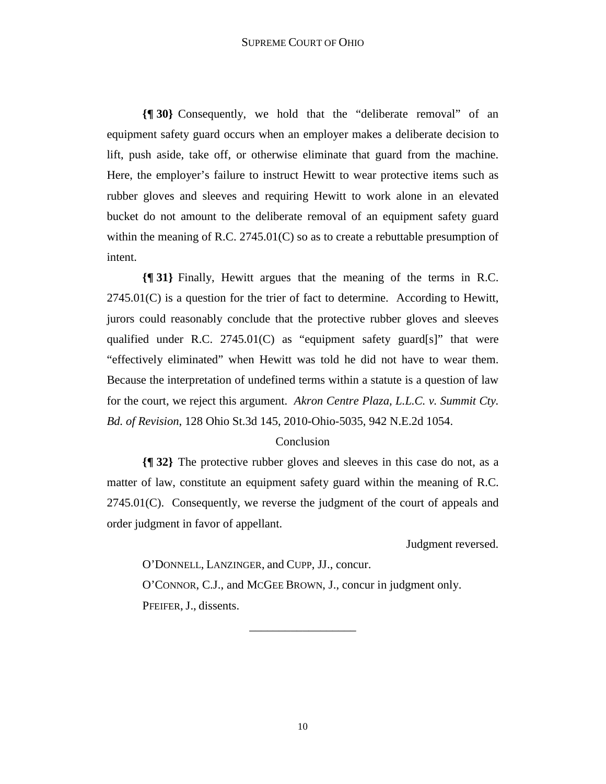**{¶ 30}** Consequently, we hold that the "deliberate removal" of an equipment safety guard occurs when an employer makes a deliberate decision to lift, push aside, take off, or otherwise eliminate that guard from the machine. Here, the employer's failure to instruct Hewitt to wear protective items such as rubber gloves and sleeves and requiring Hewitt to work alone in an elevated bucket do not amount to the deliberate removal of an equipment safety guard within the meaning of R.C.  $2745.01(C)$  so as to create a rebuttable presumption of intent.

**{¶ 31}** Finally, Hewitt argues that the meaning of the terms in R.C.  $2745.01(C)$  is a question for the trier of fact to determine. According to Hewitt, jurors could reasonably conclude that the protective rubber gloves and sleeves qualified under R.C.  $2745.01(C)$  as "equipment safety guard[s]" that were "effectively eliminated" when Hewitt was told he did not have to wear them. Because the interpretation of undefined terms within a statute is a question of law for the court, we reject this argument. *Akron Centre Plaza, L.L.C. v. Summit Cty. Bd. of Revision*, 128 Ohio St.3d 145, 2010-Ohio-5035, 942 N.E.2d 1054.

## Conclusion

**{¶ 32}** The protective rubber gloves and sleeves in this case do not, as a matter of law, constitute an equipment safety guard within the meaning of R.C. 2745.01(C). Consequently, we reverse the judgment of the court of appeals and order judgment in favor of appellant.

Judgment reversed.

O'DONNELL, LANZINGER, and CUPP, JJ., concur. O'CONNOR, C.J., and MCGEE BROWN, J., concur in judgment only.

PFEIFER, J., dissents.

\_\_\_\_\_\_\_\_\_\_\_\_\_\_\_\_\_\_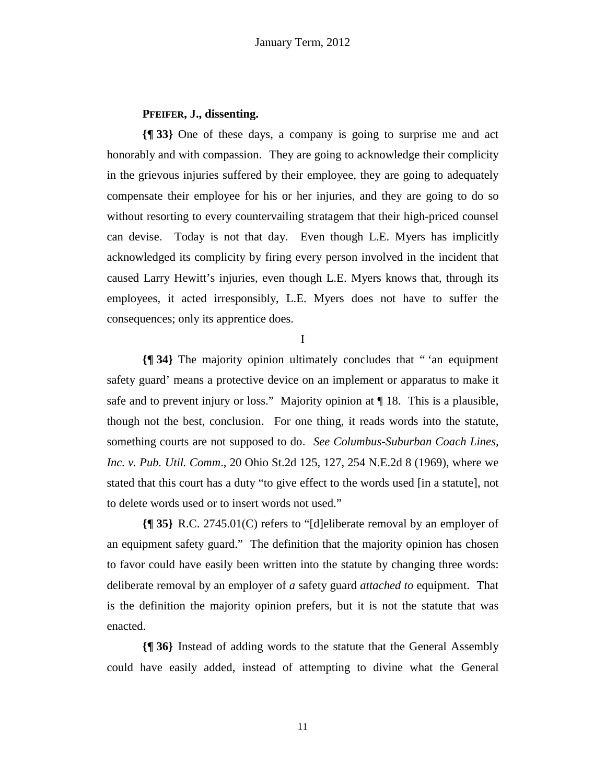# **PFEIFER, J., dissenting.**

**{¶ 33}** One of these days, a company is going to surprise me and act honorably and with compassion. They are going to acknowledge their complicity in the grievous injuries suffered by their employee, they are going to adequately compensate their employee for his or her injuries, and they are going to do so without resorting to every countervailing stratagem that their high-priced counsel can devise. Today is not that day. Even though L.E. Myers has implicitly acknowledged its complicity by firing every person involved in the incident that caused Larry Hewitt's injuries, even though L.E. Myers knows that, through its employees, it acted irresponsibly, L.E. Myers does not have to suffer the consequences; only its apprentice does.

I

**{¶ 34}** The majority opinion ultimately concludes that " 'an equipment safety guard' means a protective device on an implement or apparatus to make it safe and to prevent injury or loss." Majority opinion at  $\P$  18. This is a plausible, though not the best, conclusion. For one thing, it reads words into the statute, something courts are not supposed to do. *See Columbus-Suburban Coach Lines, Inc. v. Pub. Util. Comm*., 20 Ohio St.2d 125, 127, 254 N.E.2d 8 (1969), where we stated that this court has a duty "to give effect to the words used [in a statute], not to delete words used or to insert words not used."

**{¶ 35}** R.C. 2745.01(C) refers to "[d]eliberate removal by an employer of an equipment safety guard." The definition that the majority opinion has chosen to favor could have easily been written into the statute by changing three words: deliberate removal by an employer of *a* safety guard *attached to* equipment. That is the definition the majority opinion prefers, but it is not the statute that was enacted.

**{¶ 36}** Instead of adding words to the statute that the General Assembly could have easily added, instead of attempting to divine what the General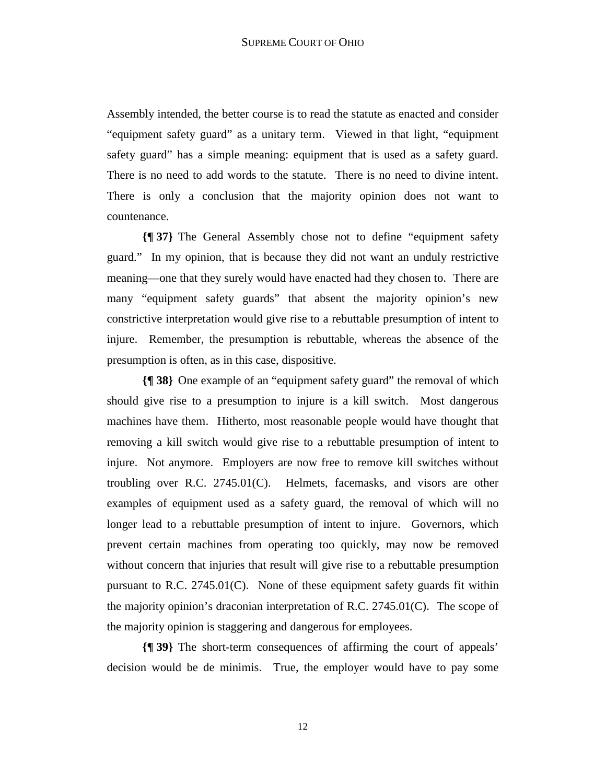Assembly intended, the better course is to read the statute as enacted and consider "equipment safety guard" as a unitary term. Viewed in that light, "equipment safety guard" has a simple meaning: equipment that is used as a safety guard. There is no need to add words to the statute. There is no need to divine intent. There is only a conclusion that the majority opinion does not want to countenance.

**{¶ 37}** The General Assembly chose not to define "equipment safety guard." In my opinion, that is because they did not want an unduly restrictive meaning—one that they surely would have enacted had they chosen to. There are many "equipment safety guards" that absent the majority opinion's new constrictive interpretation would give rise to a rebuttable presumption of intent to injure. Remember, the presumption is rebuttable, whereas the absence of the presumption is often, as in this case, dispositive.

**{¶ 38}** One example of an "equipment safety guard" the removal of which should give rise to a presumption to injure is a kill switch. Most dangerous machines have them. Hitherto, most reasonable people would have thought that removing a kill switch would give rise to a rebuttable presumption of intent to injure. Not anymore. Employers are now free to remove kill switches without troubling over R.C. 2745.01(C). Helmets, facemasks, and visors are other examples of equipment used as a safety guard, the removal of which will no longer lead to a rebuttable presumption of intent to injure. Governors, which prevent certain machines from operating too quickly, may now be removed without concern that injuries that result will give rise to a rebuttable presumption pursuant to R.C. 2745.01(C). None of these equipment safety guards fit within the majority opinion's draconian interpretation of R.C. 2745.01(C). The scope of the majority opinion is staggering and dangerous for employees.

**{¶ 39}** The short-term consequences of affirming the court of appeals' decision would be de minimis. True, the employer would have to pay some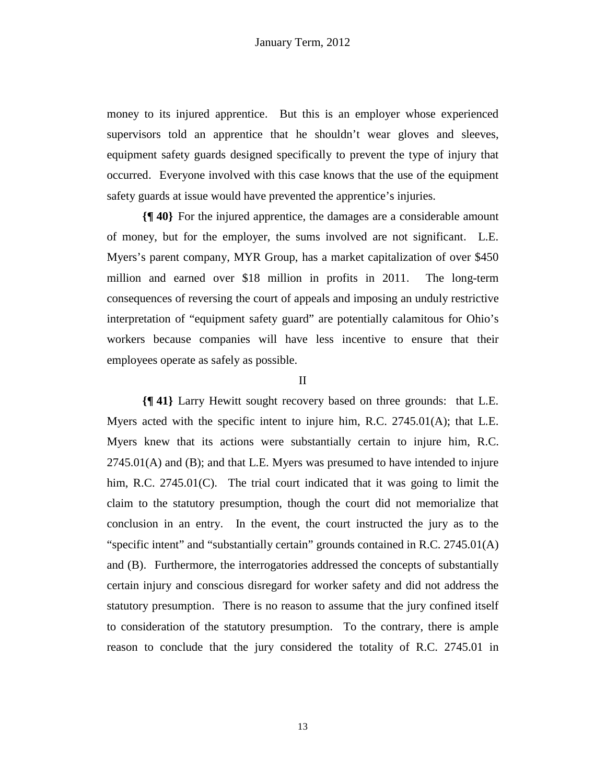money to its injured apprentice. But this is an employer whose experienced supervisors told an apprentice that he shouldn't wear gloves and sleeves, equipment safety guards designed specifically to prevent the type of injury that occurred. Everyone involved with this case knows that the use of the equipment safety guards at issue would have prevented the apprentice's injuries.

**{¶ 40}** For the injured apprentice, the damages are a considerable amount of money, but for the employer, the sums involved are not significant. L.E. Myers's parent company, MYR Group, has a market capitalization of over \$450 million and earned over \$18 million in profits in 2011. The long-term consequences of reversing the court of appeals and imposing an unduly restrictive interpretation of "equipment safety guard" are potentially calamitous for Ohio's workers because companies will have less incentive to ensure that their employees operate as safely as possible.

#### II

**{¶ 41}** Larry Hewitt sought recovery based on three grounds: that L.E. Myers acted with the specific intent to injure him, R.C.  $2745.01(A)$ ; that L.E. Myers knew that its actions were substantially certain to injure him, R.C. 2745.01(A) and (B); and that L.E. Myers was presumed to have intended to injure him, R.C. 2745.01(C). The trial court indicated that it was going to limit the claim to the statutory presumption, though the court did not memorialize that conclusion in an entry. In the event, the court instructed the jury as to the "specific intent" and "substantially certain" grounds contained in R.C. 2745.01(A) and (B). Furthermore, the interrogatories addressed the concepts of substantially certain injury and conscious disregard for worker safety and did not address the statutory presumption. There is no reason to assume that the jury confined itself to consideration of the statutory presumption. To the contrary, there is ample reason to conclude that the jury considered the totality of R.C. 2745.01 in